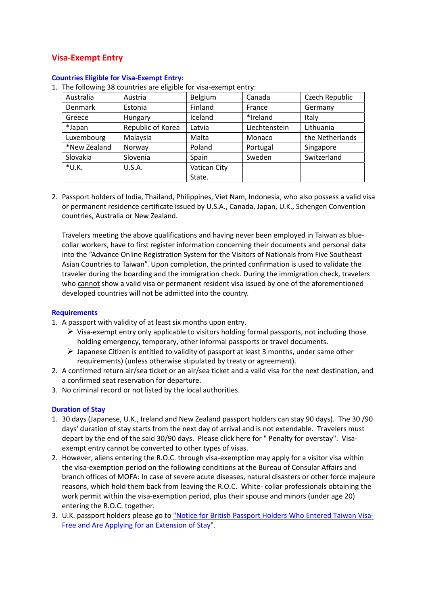# **Visa‐Exempt Entry**

| Australia    | Austria           | Belgium      | Canada        | Czech Republic  |
|--------------|-------------------|--------------|---------------|-----------------|
| Denmark      | Estonia           | Finland      | France        | Germany         |
| Greece       | Hungary           | Iceland      | *Ireland      | Italy           |
| *Japan       | Republic of Korea | Latvia       | Liechtenstein | Lithuania       |
| Luxembourg   | Malaysia          | Malta        | Monaco        | the Netherlands |
| *New Zealand | Norway            | Poland       | Portugal      | Singapore       |
| Slovakia     | Slovenia          | Spain        | Sweden        | Switzerland     |
| $*U.K.$      | U.S.A.            | Vatican City |               |                 |
|              |                   | State.       |               |                 |

#### **Countries Eligible for Visa‐Exempt Entry:**

1. The following 38 countries are eligible for visa-exempt entry:

2. Passport holders of India, Thailand, Philippines, Viet Nam, Indonesia, who also possess a valid visa or permanent residence certificate issued by U.S.A., Canada, Japan, U.K., Schengen Convention countries, Australia or New Zealand.

Travelers meeting the above qualifications and having never been employed in Taiwan as blue‐ collar workers, have to first register information concerning their documents and personal data into the "Advance Online Registration System for the Visitors of Nationals from Five Southeast Asian Countries to Taiwan". Upon completion, the printed confirmation is used to validate the traveler during the boarding and the immigration check. During the immigration check, travelers who cannot show a valid visa or permanent resident visa issued by one of the aforementioned developed countries will not be admitted into the country.

## **Requirements**

- 1. A passport with validity of at least six months upon entry.
	- $\triangleright$  Visa-exempt entry only applicable to visitors holding formal passports, not including those holding emergency, temporary, other informal passports or travel documents.
	- $\triangleright$  Japanese Citizen is entitled to validity of passport at least 3 months, under same other requirements) (unless otherwise stipulated by treaty or agreement).
- 2. A confirmed return air/sea ticket or an air/sea ticket and a valid visa for the next destination, and a confirmed seat reservation for departure.
- 3. No criminal record or not listed by the local authorities.

## **Duration of Stay**

- 1. 30 days (Japanese, U.K., Ireland and New Zealand passport holders can stay 90 days). The 30 /90 days' duration of stay starts from the next day of arrival and is not extendable. Travelers must depart by the end of the said 30/90 days. Please click here for " Penalty for overstay". Visaexempt entry cannot be converted to other types of visas.
- 2. However, aliens entering the R.O.C. through visa‐exemption may apply for a visitor visa within the visa‐exemption period on the following conditions at the Bureau of Consular Affairs and branch offices of MOFA: In case of severe acute diseases, natural disasters or other force majeure reasons, which hold them back from leaving the R.O.C. White-collar professionals obtaining the work permit within the visa‐exemption period, plus their spouse and minors (under age 20) entering the R.O.C. together.
- 3. U.K. passport holders please go to "Notice for British Passport Holders Who Entered Taiwan Visa‐ Free and Are Applying for an Extension of Stay".